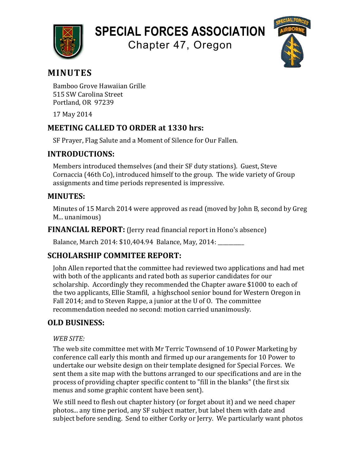

# **SPECIAL FORCES ASSOCIATION**

Chapter 47, Oregon



# **MINUTES**

Bamboo Grove Hawaiian Grille 515 SW Carolina Street Portland, OR 97239

17 May 2014

## **MEETING CALLED TO ORDER at 1330 hrs:**

SF Prayer, Flag Salute and a Moment of Silence for Our Fallen.

### **INTRODUCTIONS:**

Members introduced themselves (and their SF duty stations). Guest, Steve Cornaccia (46th Co), introduced himself to the group. The wide variety of Group assignments and time periods represented is impressive.

### **MINUTES:**

Minutes of 15 March 2014 were approved as read (moved by John B, second by Greg M... unanimous)

**FINANCIAL REPORT:** (Jerry read financial report in Hono's absence)

Balance, March 2014: \$10,404.94 Balance, May, 2014: \_\_\_\_\_\_\_\_

# **SCHOLARSHIP COMMITEE REPORT:**

John Allen reported that the committee had reviewed two applications and had met with both of the applicants and rated both as superior candidates for our scholarship. Accordingly they recommended the Chapter aware \$1000 to each of the two applicants, Ellie Stamfil, a highschool senior bound for Western Oregon in Fall 2014; and to Steven Rappe, a junior at the U of O. The committee recommendation needed no second: motion carried unanimously.

# **OLD BUSINESS:**

### *WEB SITE:*

The web site committee met with Mr Terric Townsend of 10 Power Marketing by conference call early this month and firmed up our arangements for 10 Power to undertake our website design on their template designed for Special Forces. We sent them a site map with the buttons arranged to our specifications and are in the process of providing chapter specific content to "fill in the blanks" (the first six menus and some graphic content have been sent).

We still need to flesh out chapter history (or forget about it) and we need chaper photos... any time period, any SF subject matter, but label them with date and subject before sending. Send to either Corky or Jerry. We particularly want photos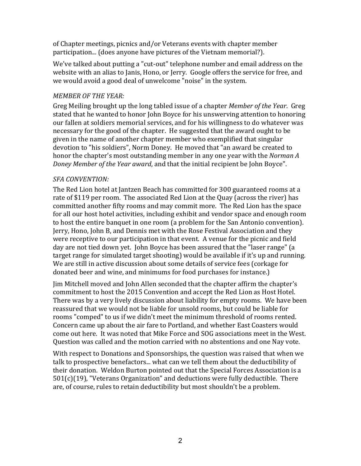of Chapter meetings, picnics and/or Veterans events with chapter member participation... (does anyone have pictures of the Vietnam memorial?).

We've talked about putting a "cut-out" telephone number and email address on the website with an alias to Janis, Hono, or Jerry. Google offers the service for free, and we would avoid a good deal of unwelcome "noise" in the system.

#### *MEMBER OF THE YEAR:*

Greg Meiling brought up the long tabled issue of a chapter *Member of the Year*. Greg stated that he wanted to honor John Boyce for his unswerving attention to honoring our fallen at soldiers memorial services, and for his willingness to do whatever was necessary for the good of the chapter. He suggested that the award ought to be given in the name of another chapter member who exemplified that singular devotion to "his soldiers", Norm Doney. He moved that "an award be created to honor the chapter's most outstanding member in any one year with the *Norman A Doney Member of the Year award*, and that the initial recipient be John Boyce".

#### *SFA CONVENTION:*

The Red Lion hotel at Jantzen Beach has committed for 300 guaranteed rooms at a rate of \$119 per room. The associated Red Lion at the Quay (across the river) has committed another fifty rooms and may commit more. The Red Lion has the space for all our host hotel activities, including exhibit and vendor space and enough room to host the entire banquet in one room (a problem for the San Antonio convention). Jerry, Hono, John B, and Dennis met with the Rose Festival Association and they were receptive to our participation in that event. A venue for the picnic and field day are not tied down yet. John Boyce has been assured that the "laser range" (a target range for simulated target shooting) would be available if it's up and running. We are still in active discussion about some details of service fees (corkage for donated beer and wine, and minimums for food purchases for instance.)

Iim Mitchell moved and John Allen seconded that the chapter affirm the chapter's commitment to host the 2015 Convention and accept the Red Lion as Host Hotel. There was by a very lively discussion about liability for empty rooms. We have been reassured that we would not be liable for unsold rooms, but could be liable for rooms "comped" to us if we didn't meet the minimum threshold of rooms rented. Concern came up about the air fare to Portland, and whether East Coasters would come out here. It was noted that Mike Force and SOG associations meet in the West. Question was called and the motion carried with no abstentions and one Nay vote.

With respect to Donations and Sponsorships, the question was raised that when we talk to prospective benefactors... what can we tell them about the deductibility of their donation. Weldon Burton pointed out that the Special Forces Association is a  $501(c)(19)$ , "Veterans Organization" and deductions were fully deductible. There are, of course, rules to retain deductibility but most shouldn't be a problem.